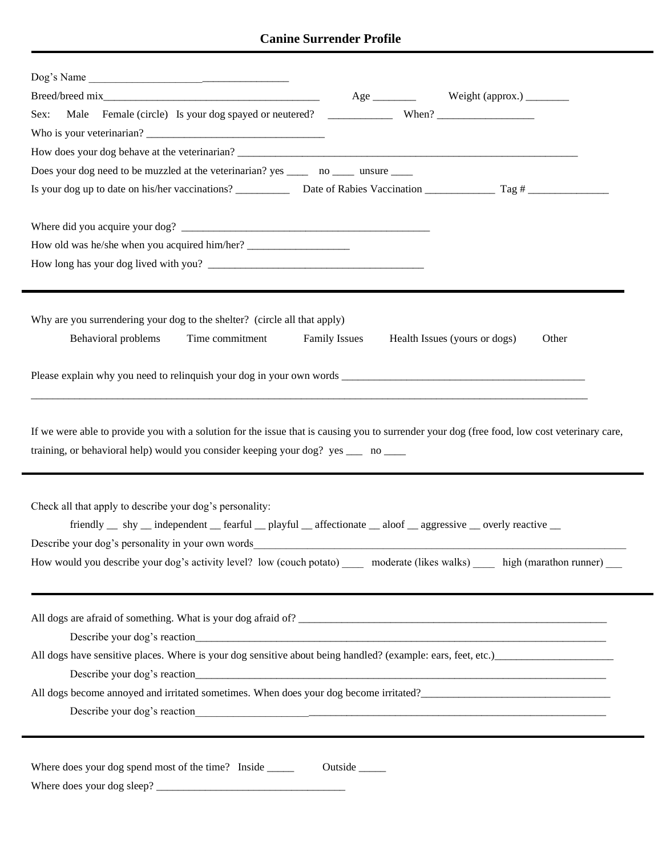## **Canine Surrender Profile**

| Sex:                                                                                                                                                                                                                                                                                                                                                          |
|---------------------------------------------------------------------------------------------------------------------------------------------------------------------------------------------------------------------------------------------------------------------------------------------------------------------------------------------------------------|
|                                                                                                                                                                                                                                                                                                                                                               |
| How does your dog behave at the veterinarian?                                                                                                                                                                                                                                                                                                                 |
| Does your dog need to be muzzled at the veterinarian? yes _______ no ______ unsure _____                                                                                                                                                                                                                                                                      |
|                                                                                                                                                                                                                                                                                                                                                               |
|                                                                                                                                                                                                                                                                                                                                                               |
| How old was he/she when you acquired him/her? __________________________________                                                                                                                                                                                                                                                                              |
| How long has your dog lived with you?                                                                                                                                                                                                                                                                                                                         |
| Why are you surrendering your dog to the shelter? (circle all that apply)<br>Behavioral problems<br>Time commitment<br>Health Issues (yours or dogs)<br>Other<br><b>Family Issues</b>                                                                                                                                                                         |
|                                                                                                                                                                                                                                                                                                                                                               |
| If we were able to provide you with a solution for the issue that is causing you to surrender your dog (free food, low cost veterinary care,<br>training, or behavioral help) would you consider keeping your dog? yes ____ no ____                                                                                                                           |
| Check all that apply to describe your dog's personality:<br>friendly _ shy _ independent _ fearful _ playful _ affectionate _ aloof _ aggressive _ overly reactive _<br>Describe your dog's personality in your own words<br>How would you describe your dog's activity level? low (couch potato) ____ moderate (likes walks) ____ high (marathon runner) ___ |
| All dogs are afraid of something. What is your dog afraid of?                                                                                                                                                                                                                                                                                                 |
|                                                                                                                                                                                                                                                                                                                                                               |
|                                                                                                                                                                                                                                                                                                                                                               |
|                                                                                                                                                                                                                                                                                                                                                               |
| All dogs become annoyed and irritated sometimes. When does your dog become irritated?                                                                                                                                                                                                                                                                         |
|                                                                                                                                                                                                                                                                                                                                                               |
|                                                                                                                                                                                                                                                                                                                                                               |
| Where does your dog spend most of the time? Inside ______<br>Outside                                                                                                                                                                                                                                                                                          |
|                                                                                                                                                                                                                                                                                                                                                               |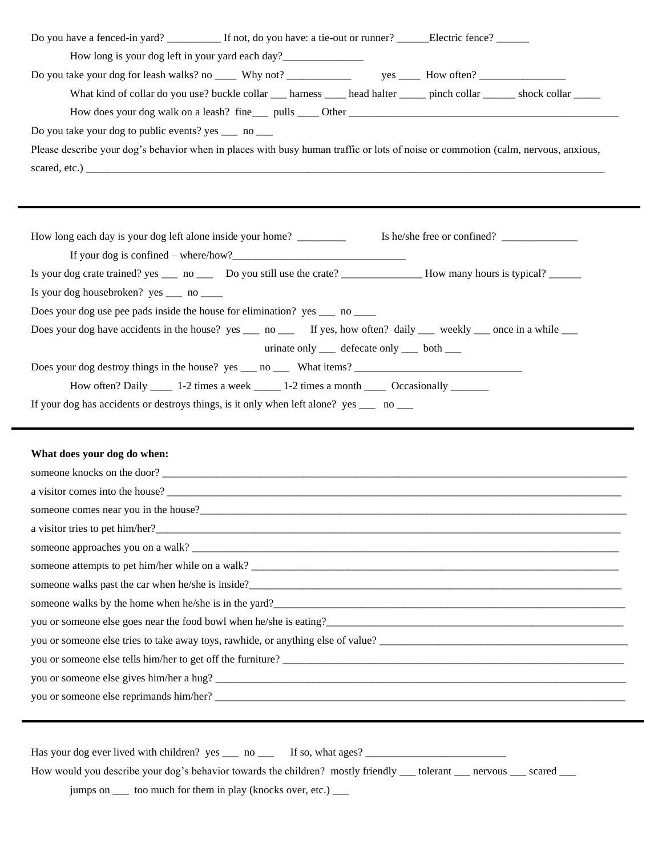| Do you have a fenced-in yard? If not, do you have: a tie-out or runner? Illectric fence?                                                                                                                                               |
|----------------------------------------------------------------------------------------------------------------------------------------------------------------------------------------------------------------------------------------|
| How long is your dog left in your yard each day?_________________________________                                                                                                                                                      |
|                                                                                                                                                                                                                                        |
| What kind of collar do you use? buckle collar ______ harness ______ head halter _______ pinch collar ________ shock collar _______                                                                                                     |
|                                                                                                                                                                                                                                        |
| Do you take your dog to public events? yes _____ no _____                                                                                                                                                                              |
| Please describe your dog's behavior when in places with busy human traffic or lots of noise or commotion (calm, nervous, anxious,                                                                                                      |
|                                                                                                                                                                                                                                        |
|                                                                                                                                                                                                                                        |
|                                                                                                                                                                                                                                        |
|                                                                                                                                                                                                                                        |
| How long each day is your dog left alone inside your home? Is he/she free or confined? _____________                                                                                                                                   |
|                                                                                                                                                                                                                                        |
|                                                                                                                                                                                                                                        |
| Is your dog housebroken? yes ____ no _____                                                                                                                                                                                             |
| Does your dog use pee pads inside the house for elimination? yes ____ no ____                                                                                                                                                          |
| Does your dog have accidents in the house? yes _____ no ________ If yes, how often? daily _____ weekly ____ once in a while _____                                                                                                      |
| urinate only _____ defecate only _____ both ____                                                                                                                                                                                       |
|                                                                                                                                                                                                                                        |
| How often? Daily _______ 1-2 times a week ________ 1-2 times a month _______ Occasionally _________                                                                                                                                    |
| If your dog has accidents or destroys things, is it only when left alone? yes _____ no ____                                                                                                                                            |
|                                                                                                                                                                                                                                        |
|                                                                                                                                                                                                                                        |
|                                                                                                                                                                                                                                        |
| What does your dog do when:                                                                                                                                                                                                            |
| someone knocks on the door?                                                                                                                                                                                                            |
| a visitor comes into the house?                                                                                                                                                                                                        |
| someone comes near you in the house?_                                                                                                                                                                                                  |
|                                                                                                                                                                                                                                        |
| someone approaches you on a walk?                                                                                                                                                                                                      |
|                                                                                                                                                                                                                                        |
| someone walks past the car when he/she is inside?                                                                                                                                                                                      |
| someone walks by the home when he/she is in the yard?<br><u>Letting and the contract of the state of the state of the state of the state of the state of the state of the state of the state of the state of the state of the stat</u> |
| you or someone else goes near the food bowl when he/she is eating?                                                                                                                                                                     |
|                                                                                                                                                                                                                                        |
|                                                                                                                                                                                                                                        |
|                                                                                                                                                                                                                                        |
|                                                                                                                                                                                                                                        |
|                                                                                                                                                                                                                                        |
|                                                                                                                                                                                                                                        |
| How would you describe your dog's behavior towards the children? mostly friendly __ tolerant __ nervous __ scared __                                                                                                                   |
| jumps on _____ too much for them in play (knocks over, etc.) _____                                                                                                                                                                     |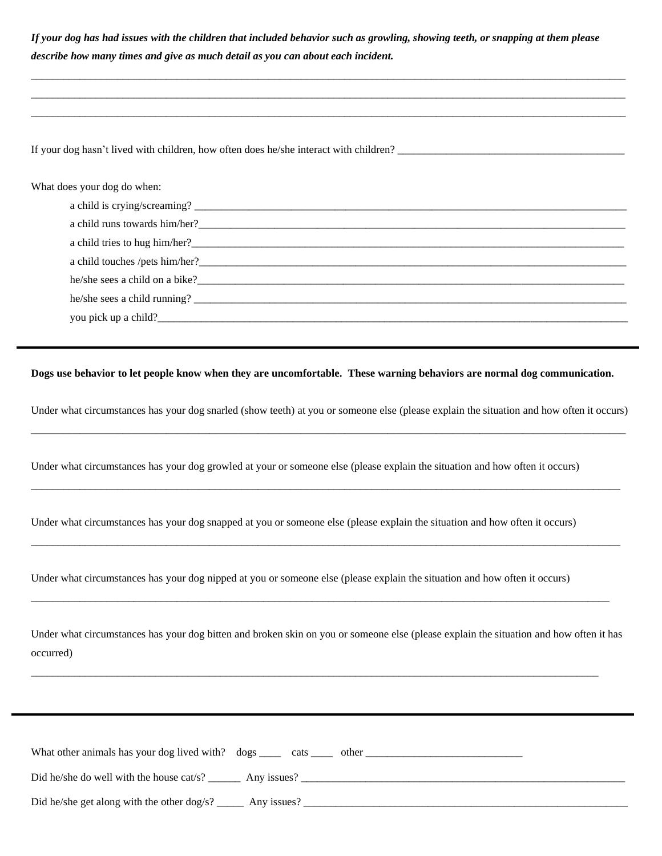| If your dog has had issues with the children that included behavior such as growling, showing teeth, or snapping at them please                     |  |  |  |  |
|-----------------------------------------------------------------------------------------------------------------------------------------------------|--|--|--|--|
| describe how many times and give as much detail as you can about each incident.                                                                     |  |  |  |  |
|                                                                                                                                                     |  |  |  |  |
|                                                                                                                                                     |  |  |  |  |
|                                                                                                                                                     |  |  |  |  |
| What does your dog do when:                                                                                                                         |  |  |  |  |
|                                                                                                                                                     |  |  |  |  |
|                                                                                                                                                     |  |  |  |  |
|                                                                                                                                                     |  |  |  |  |
|                                                                                                                                                     |  |  |  |  |
|                                                                                                                                                     |  |  |  |  |
|                                                                                                                                                     |  |  |  |  |
| you pick up a child?                                                                                                                                |  |  |  |  |
|                                                                                                                                                     |  |  |  |  |
| Dogs use behavior to let people know when they are uncomfortable. These warning behaviors are normal dog communication.                             |  |  |  |  |
| Under what circumstances has your dog snarled (show teeth) at you or someone else (please explain the situation and how often it occurs)            |  |  |  |  |
| Under what circumstances has your dog growled at your or someone else (please explain the situation and how often it occurs)                        |  |  |  |  |
| Under what circumstances has your dog snapped at you or someone else (please explain the situation and how often it occurs)                         |  |  |  |  |
| Under what circumstances has your dog nipped at you or someone else (please explain the situation and how often it occurs)                          |  |  |  |  |
| Under what circumstances has your dog bitten and broken skin on you or someone else (please explain the situation and how often it has<br>occurred) |  |  |  |  |
|                                                                                                                                                     |  |  |  |  |
|                                                                                                                                                     |  |  |  |  |
|                                                                                                                                                     |  |  |  |  |
|                                                                                                                                                     |  |  |  |  |
|                                                                                                                                                     |  |  |  |  |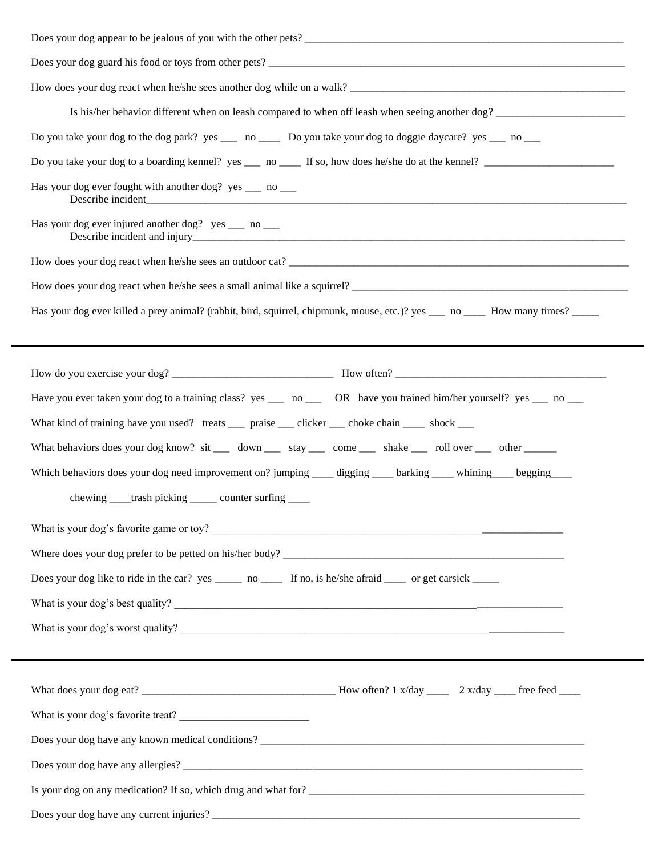| Does your dog guard his food or toys from other pets?                                                                                                                                                                                 |  |  |  |  |
|---------------------------------------------------------------------------------------------------------------------------------------------------------------------------------------------------------------------------------------|--|--|--|--|
| How does your dog react when he/she sees another dog while on a walk?                                                                                                                                                                 |  |  |  |  |
| Is his/her behavior different when on leash compared to when off leash when seeing another dog?                                                                                                                                       |  |  |  |  |
| Do you take your dog to the dog park? yes ______ no _______ Do you take your dog to doggie daycare? yes _____ no _____                                                                                                                |  |  |  |  |
|                                                                                                                                                                                                                                       |  |  |  |  |
| Has your dog ever fought with another dog? yes __ no __                                                                                                                                                                               |  |  |  |  |
| Has your dog ever injured another dog? yes ___ no ___                                                                                                                                                                                 |  |  |  |  |
|                                                                                                                                                                                                                                       |  |  |  |  |
|                                                                                                                                                                                                                                       |  |  |  |  |
| Has your dog ever killed a prey animal? (rabbit, bird, squirrel, chipmunk, mouse, etc.)? yes ___ no ____ How many times? _____                                                                                                        |  |  |  |  |
|                                                                                                                                                                                                                                       |  |  |  |  |
| Have you ever taken your dog to a training class? yes _____ no _____ OR have you trained him/her yourself? yes ____ no ___                                                                                                            |  |  |  |  |
| What kind of training have you used? treats _______ praise _____ clicker _____ choke chain _______ shock ____                                                                                                                         |  |  |  |  |
| What behaviors does your dog know? sit _____ down ______ stay ______ come ______ shake ______ roll over ______ other _______                                                                                                          |  |  |  |  |
| Which behaviors does your dog need improvement on? jumping ______ digging ______ barking ______ whining _____ begging _____                                                                                                           |  |  |  |  |
| chewing _____trash picking _______ counter surfing ______                                                                                                                                                                             |  |  |  |  |
|                                                                                                                                                                                                                                       |  |  |  |  |
|                                                                                                                                                                                                                                       |  |  |  |  |
| Does your dog like to ride in the car? yes _______ no _______ If no, is he/she afraid ______ or get carsick ______                                                                                                                    |  |  |  |  |
|                                                                                                                                                                                                                                       |  |  |  |  |
| What is your dog's worst quality?                                                                                                                                                                                                     |  |  |  |  |
|                                                                                                                                                                                                                                       |  |  |  |  |
|                                                                                                                                                                                                                                       |  |  |  |  |
|                                                                                                                                                                                                                                       |  |  |  |  |
|                                                                                                                                                                                                                                       |  |  |  |  |
| What is your dog's favorite treat?                                                                                                                                                                                                    |  |  |  |  |
|                                                                                                                                                                                                                                       |  |  |  |  |
|                                                                                                                                                                                                                                       |  |  |  |  |
| Does your dog have any current injuries?<br><u> Leadenborne and</u> the state of the state of the state of the state of the state of the state of the state of the state of the state of the state of the state of the state of the s |  |  |  |  |